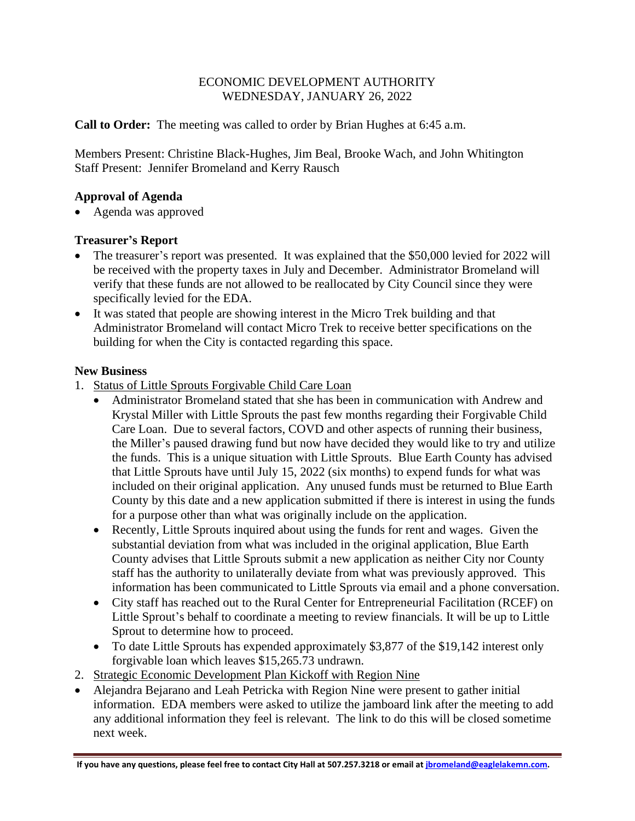# ECONOMIC DEVELOPMENT AUTHORITY WEDNESDAY, JANUARY 26, 2022

**Call to Order:** The meeting was called to order by Brian Hughes at 6:45 a.m.

Members Present: Christine Black-Hughes, Jim Beal, Brooke Wach, and John Whitington Staff Present: Jennifer Bromeland and Kerry Rausch

# **Approval of Agenda**

• Agenda was approved

### **Treasurer's Report**

- The treasurer's report was presented. It was explained that the \$50,000 levied for 2022 will be received with the property taxes in July and December. Administrator Bromeland will verify that these funds are not allowed to be reallocated by City Council since they were specifically levied for the EDA.
- It was stated that people are showing interest in the Micro Trek building and that Administrator Bromeland will contact Micro Trek to receive better specifications on the building for when the City is contacted regarding this space.

### **New Business**

- 1. Status of Little Sprouts Forgivable Child Care Loan
	- Administrator Bromeland stated that she has been in communication with Andrew and Krystal Miller with Little Sprouts the past few months regarding their Forgivable Child Care Loan. Due to several factors, COVD and other aspects of running their business, the Miller's paused drawing fund but now have decided they would like to try and utilize the funds. This is a unique situation with Little Sprouts. Blue Earth County has advised that Little Sprouts have until July 15, 2022 (six months) to expend funds for what was included on their original application. Any unused funds must be returned to Blue Earth County by this date and a new application submitted if there is interest in using the funds for a purpose other than what was originally include on the application.
	- Recently, Little Sprouts inquired about using the funds for rent and wages. Given the substantial deviation from what was included in the original application, Blue Earth County advises that Little Sprouts submit a new application as neither City nor County staff has the authority to unilaterally deviate from what was previously approved. This information has been communicated to Little Sprouts via email and a phone conversation.
	- City staff has reached out to the Rural Center for Entrepreneurial Facilitation (RCEF) on Little Sprout's behalf to coordinate a meeting to review financials. It will be up to Little Sprout to determine how to proceed.
	- To date Little Sprouts has expended approximately \$3,877 of the \$19,142 interest only forgivable loan which leaves \$15,265.73 undrawn.
- 2. Strategic Economic Development Plan Kickoff with Region Nine
- Alejandra Bejarano and Leah Petricka with Region Nine were present to gather initial information. EDA members were asked to utilize the jamboard link after the meeting to add any additional information they feel is relevant. The link to do this will be closed sometime next week.

**If you have any questions, please feel free to contact City Hall at 507.257.3218 or email a[t jbromeland@eaglelakemn.com.](mailto:jbromeland@eaglelakemn.com)**